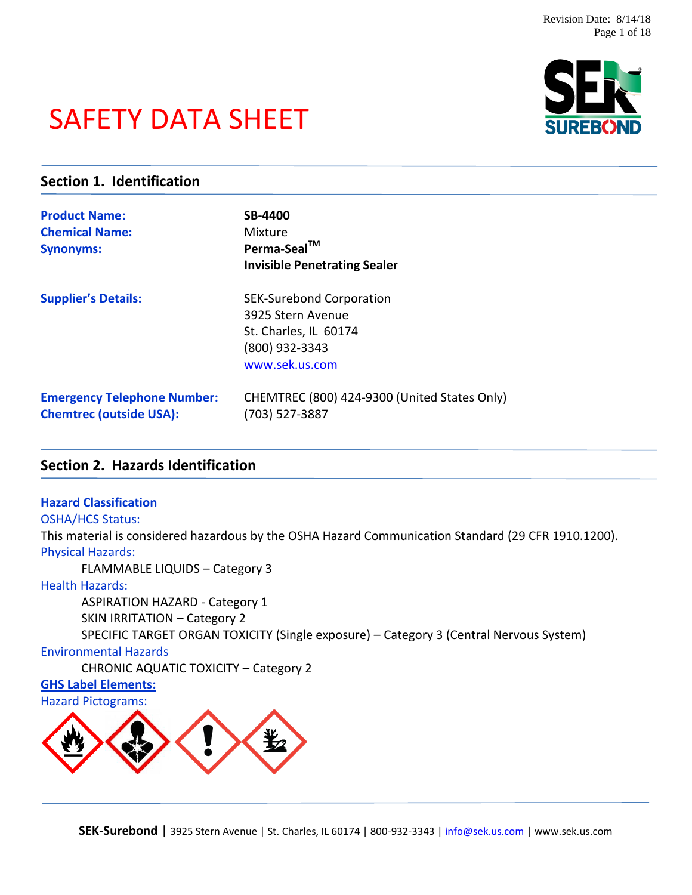# SAFETY DATA SHEET



### **Section 1. Identification**

| <b>Product Name:</b><br><b>Chemical Name:</b><br><b>Synonyms:</b>    | <b>SB-4400</b><br>Mixture<br>Perma-Seal™<br><b>Invisible Penetrating Sealer</b>                                   |
|----------------------------------------------------------------------|-------------------------------------------------------------------------------------------------------------------|
| <b>Supplier's Details:</b>                                           | <b>SEK-Surebond Corporation</b><br>3925 Stern Avenue<br>St. Charles, IL 60174<br>(800) 932-3343<br>www.sek.us.com |
| <b>Emergency Telephone Number:</b><br><b>Chemtrec (outside USA):</b> | CHEMTREC (800) 424-9300 (United States Only)<br>(703) 527-3887                                                    |

### **Section 2. Hazards Identification**

### **Hazard Classification**

### OSHA/HCS Status:

This material is considered hazardous by the OSHA Hazard Communication Standard (29 CFR 1910.1200). Physical Hazards:

FLAMMABLE LIQUIDS – Category 3

### Health Hazards:

ASPIRATION HAZARD - Category 1 SKIN IRRITATION – Category 2 SPECIFIC TARGET ORGAN TOXICITY (Single exposure) – Category 3 (Central Nervous System)

### Environmental Hazards

CHRONIC AQUATIC TOXICITY – Category 2

### **GHS Label Elements:**



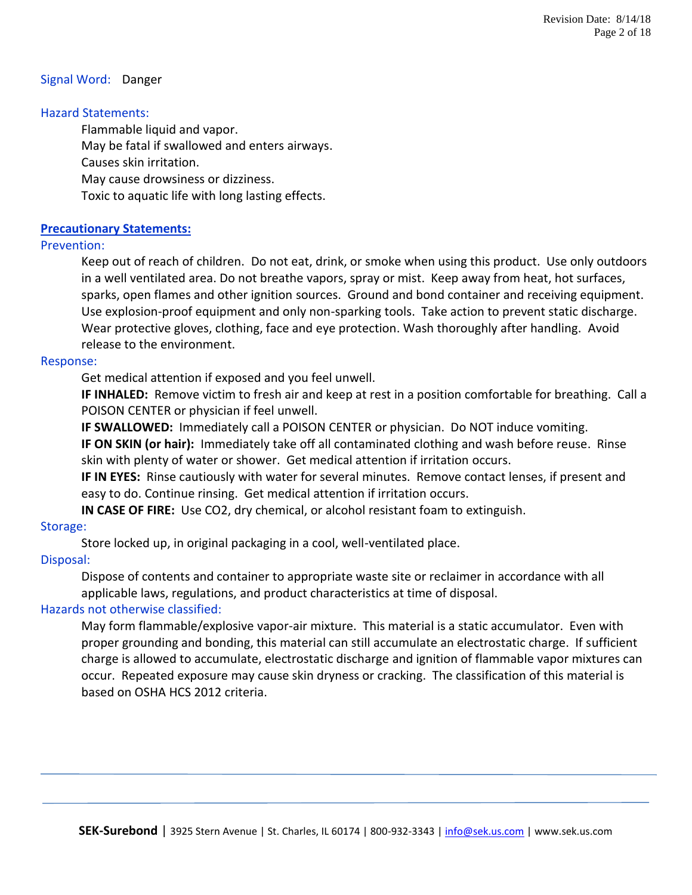### Signal Word: Danger

### Hazard Statements:

Flammable liquid and vapor. May be fatal if swallowed and enters airways. Causes skin irritation. May cause drowsiness or dizziness. Toxic to aquatic life with long lasting effects.

### **Precautionary Statements:**

### Prevention:

Keep out of reach of children. Do not eat, drink, or smoke when using this product. Use only outdoors in a well ventilated area. Do not breathe vapors, spray or mist. Keep away from heat, hot surfaces, sparks, open flames and other ignition sources. Ground and bond container and receiving equipment. Use explosion-proof equipment and only non-sparking tools. Take action to prevent static discharge. Wear protective gloves, clothing, face and eye protection. Wash thoroughly after handling. Avoid release to the environment.

### Response:

Get medical attention if exposed and you feel unwell.

**IF INHALED:** Remove victim to fresh air and keep at rest in a position comfortable for breathing. Call a POISON CENTER or physician if feel unwell.

**IF SWALLOWED:** Immediately call a POISON CENTER or physician. Do NOT induce vomiting. **IF ON SKIN (or hair):** Immediately take off all contaminated clothing and wash before reuse. Rinse skin with plenty of water or shower. Get medical attention if irritation occurs.

**IF IN EYES:** Rinse cautiously with water for several minutes. Remove contact lenses, if present and easy to do. Continue rinsing. Get medical attention if irritation occurs.

**IN CASE OF FIRE:** Use CO2, dry chemical, or alcohol resistant foam to extinguish.

### Storage:

Store locked up, in original packaging in a cool, well-ventilated place.

### Disposal:

Dispose of contents and container to appropriate waste site or reclaimer in accordance with all applicable laws, regulations, and product characteristics at time of disposal.

### Hazards not otherwise classified:

May form flammable/explosive vapor-air mixture. This material is a static accumulator. Even with proper grounding and bonding, this material can still accumulate an electrostatic charge. If sufficient charge is allowed to accumulate, electrostatic discharge and ignition of flammable vapor mixtures can occur. Repeated exposure may cause skin dryness or cracking. The classification of this material is based on OSHA HCS 2012 criteria.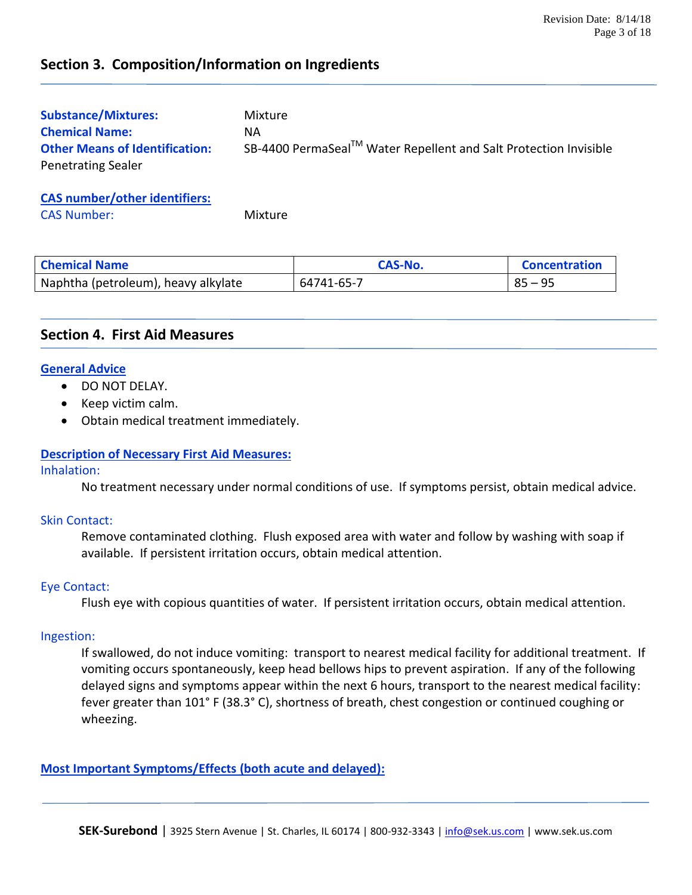### **Section 3. Composition/Information on Ingredients**

| <b>Substance/Mixtures:</b>            | Mixture                                                          |
|---------------------------------------|------------------------------------------------------------------|
| <b>Chemical Name:</b>                 | NA.                                                              |
| <b>Other Means of Identification:</b> | SB-4400 PermaSeal™ Water Repellent and Salt Protection Invisible |
| <b>Penetrating Sealer</b>             |                                                                  |

**CAS number/other identifiers:** CAS Number: Mixture

|  |  |  | .<br>. . |  |  |
|--|--|--|----------|--|--|
|  |  |  |          |  |  |
|  |  |  |          |  |  |
|  |  |  |          |  |  |
|  |  |  |          |  |  |

| <b>Chemical Name</b>                | CAS-No.    | <b>Concentration</b> |
|-------------------------------------|------------|----------------------|
| Naphtha (petroleum), heavy alkylate | 64741-65-7 | $85 - 95$            |

### **Section 4. First Aid Measures**

### **General Advice**

- DO NOT DELAY.
- Keep victim calm.
- Obtain medical treatment immediately.

### **Description of Necessary First Aid Measures:**

### Inhalation:

No treatment necessary under normal conditions of use. If symptoms persist, obtain medical advice.

### Skin Contact:

Remove contaminated clothing. Flush exposed area with water and follow by washing with soap if available. If persistent irritation occurs, obtain medical attention.

### Eye Contact:

Flush eye with copious quantities of water. If persistent irritation occurs, obtain medical attention.

### Ingestion:

If swallowed, do not induce vomiting: transport to nearest medical facility for additional treatment. If vomiting occurs spontaneously, keep head bellows hips to prevent aspiration. If any of the following delayed signs and symptoms appear within the next 6 hours, transport to the nearest medical facility: fever greater than 101° F (38.3° C), shortness of breath, chest congestion or continued coughing or wheezing.

### **Most Important Symptoms/Effects (both acute and delayed):**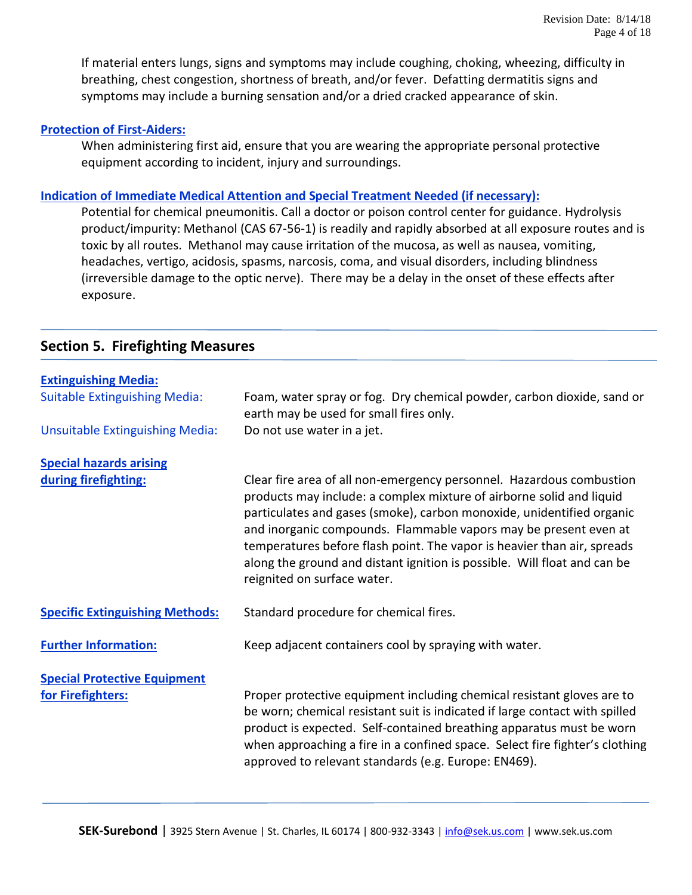If material enters lungs, signs and symptoms may include coughing, choking, wheezing, difficulty in breathing, chest congestion, shortness of breath, and/or fever. Defatting dermatitis signs and symptoms may include a burning sensation and/or a dried cracked appearance of skin.

### **Protection of First-Aiders:**

When administering first aid, ensure that you are wearing the appropriate personal protective equipment according to incident, injury and surroundings.

### **Indication of Immediate Medical Attention and Special Treatment Needed (if necessary):**

Potential for chemical pneumonitis. Call a doctor or poison control center for guidance. Hydrolysis product/impurity: Methanol (CAS 67-56-1) is readily and rapidly absorbed at all exposure routes and is toxic by all routes. Methanol may cause irritation of the mucosa, as well as nausea, vomiting, headaches, vertigo, acidosis, spasms, narcosis, coma, and visual disorders, including blindness (irreversible damage to the optic nerve). There may be a delay in the onset of these effects after exposure.

### **Section 5. Firefighting Measures**

| <b>Extinguishing Media:</b>                              |                                                                                                                                                                                                                                                                                                                                                                                                                                                                                 |
|----------------------------------------------------------|---------------------------------------------------------------------------------------------------------------------------------------------------------------------------------------------------------------------------------------------------------------------------------------------------------------------------------------------------------------------------------------------------------------------------------------------------------------------------------|
| <b>Suitable Extinguishing Media:</b>                     | Foam, water spray or fog. Dry chemical powder, carbon dioxide, sand or<br>earth may be used for small fires only.                                                                                                                                                                                                                                                                                                                                                               |
| <b>Unsuitable Extinguishing Media:</b>                   | Do not use water in a jet.                                                                                                                                                                                                                                                                                                                                                                                                                                                      |
| <b>Special hazards arising</b>                           |                                                                                                                                                                                                                                                                                                                                                                                                                                                                                 |
| during firefighting:                                     | Clear fire area of all non-emergency personnel. Hazardous combustion<br>products may include: a complex mixture of airborne solid and liquid<br>particulates and gases (smoke), carbon monoxide, unidentified organic<br>and inorganic compounds. Flammable vapors may be present even at<br>temperatures before flash point. The vapor is heavier than air, spreads<br>along the ground and distant ignition is possible. Will float and can be<br>reignited on surface water. |
| <b>Specific Extinguishing Methods:</b>                   | Standard procedure for chemical fires.                                                                                                                                                                                                                                                                                                                                                                                                                                          |
| <b>Further Information:</b>                              | Keep adjacent containers cool by spraying with water.                                                                                                                                                                                                                                                                                                                                                                                                                           |
| <b>Special Protective Equipment</b><br>for Firefighters: | Proper protective equipment including chemical resistant gloves are to<br>be worn; chemical resistant suit is indicated if large contact with spilled<br>product is expected. Self-contained breathing apparatus must be worn<br>when approaching a fire in a confined space. Select fire fighter's clothing<br>approved to relevant standards (e.g. Europe: EN469).                                                                                                            |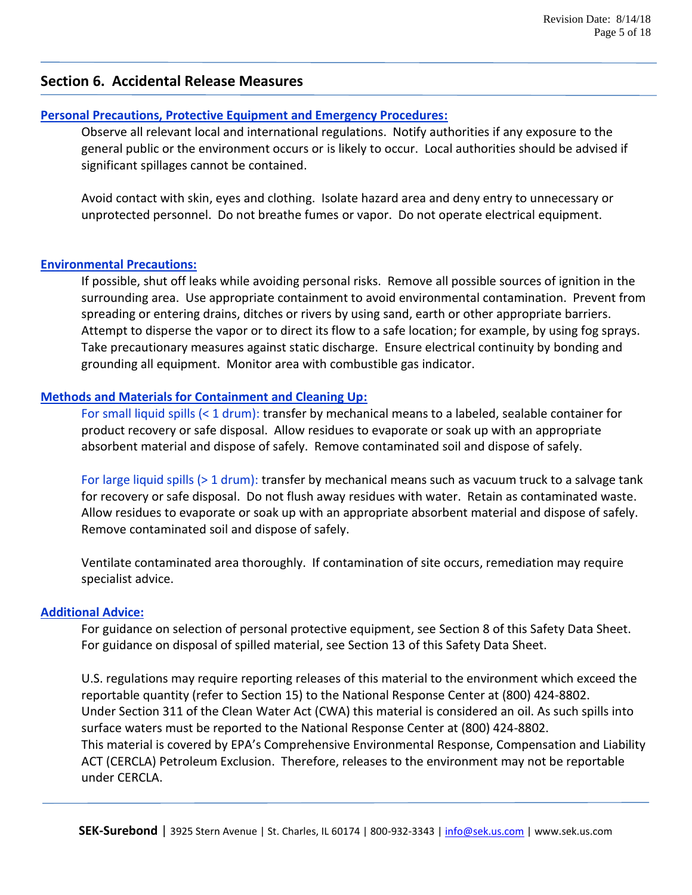### **Section 6. Accidental Release Measures**

### **Personal Precautions, Protective Equipment and Emergency Procedures:**

Observe all relevant local and international regulations. Notify authorities if any exposure to the general public or the environment occurs or is likely to occur. Local authorities should be advised if significant spillages cannot be contained.

Avoid contact with skin, eyes and clothing. Isolate hazard area and deny entry to unnecessary or unprotected personnel. Do not breathe fumes or vapor. Do not operate electrical equipment.

### **Environmental Precautions:**

If possible, shut off leaks while avoiding personal risks. Remove all possible sources of ignition in the surrounding area. Use appropriate containment to avoid environmental contamination. Prevent from spreading or entering drains, ditches or rivers by using sand, earth or other appropriate barriers. Attempt to disperse the vapor or to direct its flow to a safe location; for example, by using fog sprays. Take precautionary measures against static discharge. Ensure electrical continuity by bonding and grounding all equipment. Monitor area with combustible gas indicator.

### **Methods and Materials for Containment and Cleaning Up:**

For small liquid spills (< 1 drum): transfer by mechanical means to a labeled, sealable container for product recovery or safe disposal. Allow residues to evaporate or soak up with an appropriate absorbent material and dispose of safely. Remove contaminated soil and dispose of safely.

For large liquid spills (> 1 drum): transfer by mechanical means such as vacuum truck to a salvage tank for recovery or safe disposal. Do not flush away residues with water. Retain as contaminated waste. Allow residues to evaporate or soak up with an appropriate absorbent material and dispose of safely. Remove contaminated soil and dispose of safely.

Ventilate contaminated area thoroughly. If contamination of site occurs, remediation may require specialist advice.

### **Additional Advice:**

For guidance on selection of personal protective equipment, see Section 8 of this Safety Data Sheet. For guidance on disposal of spilled material, see Section 13 of this Safety Data Sheet.

U.S. regulations may require reporting releases of this material to the environment which exceed the reportable quantity (refer to Section 15) to the National Response Center at (800) 424-8802. Under Section 311 of the Clean Water Act (CWA) this material is considered an oil. As such spills into surface waters must be reported to the National Response Center at (800) 424-8802. This material is covered by EPA's Comprehensive Environmental Response, Compensation and Liability ACT (CERCLA) Petroleum Exclusion. Therefore, releases to the environment may not be reportable under CERCLA.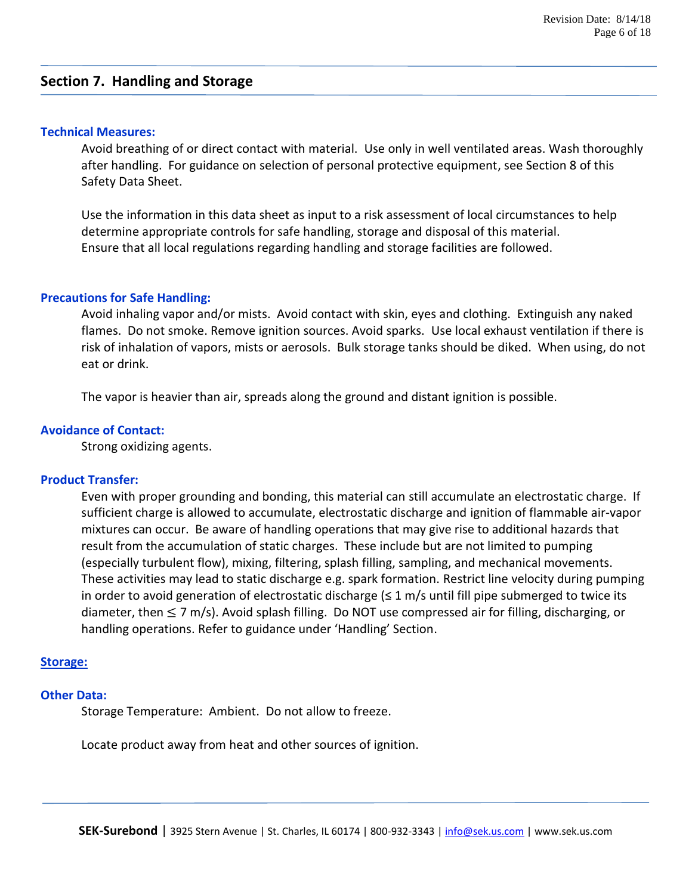### **Section 7. Handling and Storage**

#### **Technical Measures:**

Avoid breathing of or direct contact with material. Use only in well ventilated areas. Wash thoroughly after handling. For guidance on selection of personal protective equipment, see Section 8 of this Safety Data Sheet.

Use the information in this data sheet as input to a risk assessment of local circumstances to help determine appropriate controls for safe handling, storage and disposal of this material. Ensure that all local regulations regarding handling and storage facilities are followed.

#### **Precautions for Safe Handling:**

Avoid inhaling vapor and/or mists. Avoid contact with skin, eyes and clothing. Extinguish any naked flames. Do not smoke. Remove ignition sources. Avoid sparks. Use local exhaust ventilation if there is risk of inhalation of vapors, mists or aerosols. Bulk storage tanks should be diked. When using, do not eat or drink.

The vapor is heavier than air, spreads along the ground and distant ignition is possible.

#### **Avoidance of Contact:**

Strong oxidizing agents.

### **Product Transfer:**

Even with proper grounding and bonding, this material can still accumulate an electrostatic charge. If sufficient charge is allowed to accumulate, electrostatic discharge and ignition of flammable air-vapor mixtures can occur. Be aware of handling operations that may give rise to additional hazards that result from the accumulation of static charges. These include but are not limited to pumping (especially turbulent flow), mixing, filtering, splash filling, sampling, and mechanical movements. These activities may lead to static discharge e.g. spark formation. Restrict line velocity during pumping in order to avoid generation of electrostatic discharge  $(\leq 1 \text{ m/s}$  until fill pipe submerged to twice its diameter, then  $\leq$  7 m/s). Avoid splash filling. Do NOT use compressed air for filling, discharging, or handling operations. Refer to guidance under 'Handling' Section.

### **Storage:**

#### **Other Data:**

Storage Temperature: Ambient. Do not allow to freeze.

Locate product away from heat and other sources of ignition.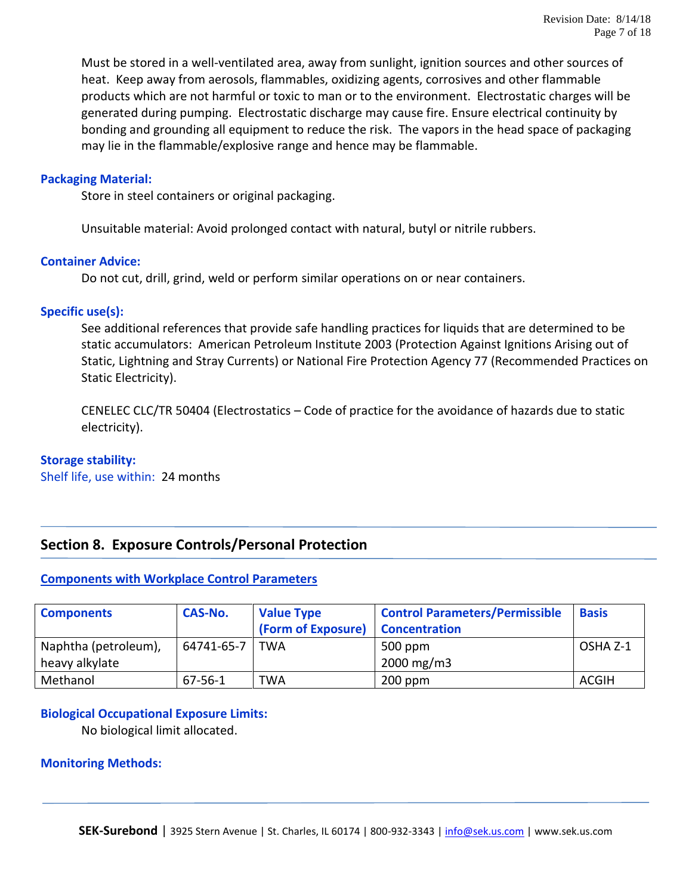Must be stored in a well-ventilated area, away from sunlight, ignition sources and other sources of heat. Keep away from aerosols, flammables, oxidizing agents, corrosives and other flammable products which are not harmful or toxic to man or to the environment. Electrostatic charges will be generated during pumping. Electrostatic discharge may cause fire. Ensure electrical continuity by bonding and grounding all equipment to reduce the risk. The vapors in the head space of packaging may lie in the flammable/explosive range and hence may be flammable.

### **Packaging Material:**

Store in steel containers or original packaging.

Unsuitable material: Avoid prolonged contact with natural, butyl or nitrile rubbers.

### **Container Advice:**

Do not cut, drill, grind, weld or perform similar operations on or near containers.

### **Specific use(s):**

See additional references that provide safe handling practices for liquids that are determined to be static accumulators: American Petroleum Institute 2003 (Protection Against Ignitions Arising out of Static, Lightning and Stray Currents) or National Fire Protection Agency 77 (Recommended Practices on Static Electricity).

CENELEC CLC/TR 50404 (Electrostatics – Code of practice for the avoidance of hazards due to static electricity).

### **Storage stability:**

Shelf life, use within: 24 months

### **Section 8. Exposure Controls/Personal Protection**

### **Components with Workplace Control Parameters**

| <b>Components</b>                      | <b>CAS-No.</b> | <b>Value Type</b><br>(Form of Exposure) | <b>Control Parameters/Permissible</b><br><b>Concentration</b> | <b>Basis</b> |
|----------------------------------------|----------------|-----------------------------------------|---------------------------------------------------------------|--------------|
| Naphtha (petroleum),<br>heavy alkylate | 64741-65-7     | I TWA                                   | 500 ppm<br>$2000 \,\mathrm{mg/m3}$                            | OSHA Z-1     |
| Methanol                               | 67-56-1        | TWA                                     | $200$ ppm                                                     | <b>ACGIH</b> |

### **Biological Occupational Exposure Limits:**

No biological limit allocated.

### **Monitoring Methods:**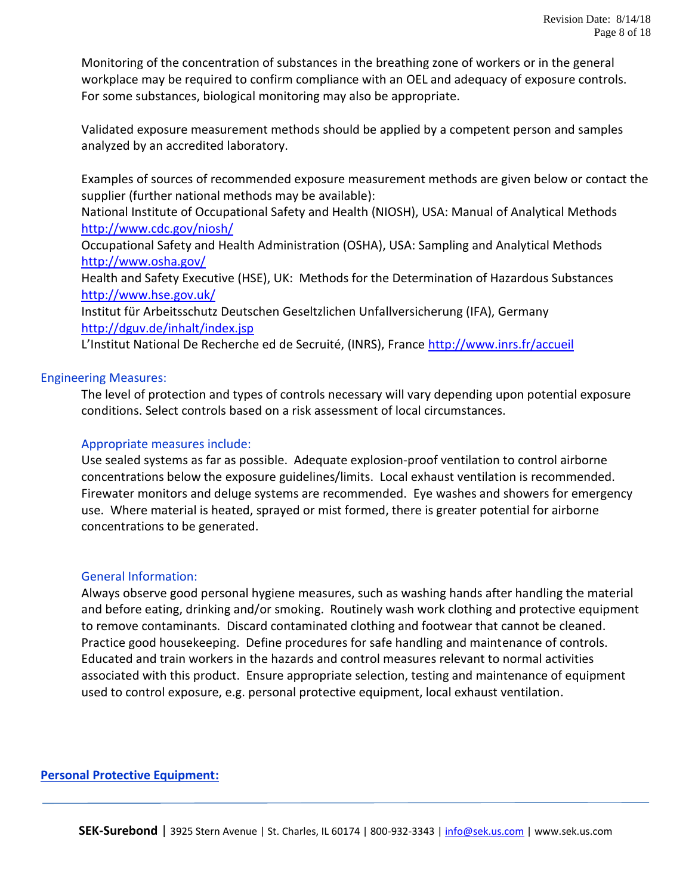Monitoring of the concentration of substances in the breathing zone of workers or in the general workplace may be required to confirm compliance with an OEL and adequacy of exposure controls. For some substances, biological monitoring may also be appropriate.

Validated exposure measurement methods should be applied by a competent person and samples analyzed by an accredited laboratory.

Examples of sources of recommended exposure measurement methods are given below or contact the supplier (further national methods may be available):

National Institute of Occupational Safety and Health (NIOSH), USA: Manual of Analytical Methods <http://www.cdc.gov/niosh/>

Occupational Safety and Health Administration (OSHA), USA: Sampling and Analytical Methods <http://www.osha.gov/>

Health and Safety Executive (HSE), UK: Methods for the Determination of Hazardous Substances <http://www.hse.gov.uk/>

Institut für Arbeitsschutz Deutschen Geseltzlichen Unfallversicherung (IFA), Germany <http://dguv.de/inhalt/index.jsp>

L'Institut National De Recherche ed de Secruité, (INRS), France <http://www.inrs.fr/accueil>

### Engineering Measures:

The level of protection and types of controls necessary will vary depending upon potential exposure conditions. Select controls based on a risk assessment of local circumstances.

### Appropriate measures include:

Use sealed systems as far as possible. Adequate explosion-proof ventilation to control airborne concentrations below the exposure guidelines/limits. Local exhaust ventilation is recommended. Firewater monitors and deluge systems are recommended. Eye washes and showers for emergency use. Where material is heated, sprayed or mist formed, there is greater potential for airborne concentrations to be generated.

### General Information:

Always observe good personal hygiene measures, such as washing hands after handling the material and before eating, drinking and/or smoking. Routinely wash work clothing and protective equipment to remove contaminants. Discard contaminated clothing and footwear that cannot be cleaned. Practice good housekeeping. Define procedures for safe handling and maintenance of controls. Educated and train workers in the hazards and control measures relevant to normal activities associated with this product. Ensure appropriate selection, testing and maintenance of equipment used to control exposure, e.g. personal protective equipment, local exhaust ventilation.

### **Personal Protective Equipment:**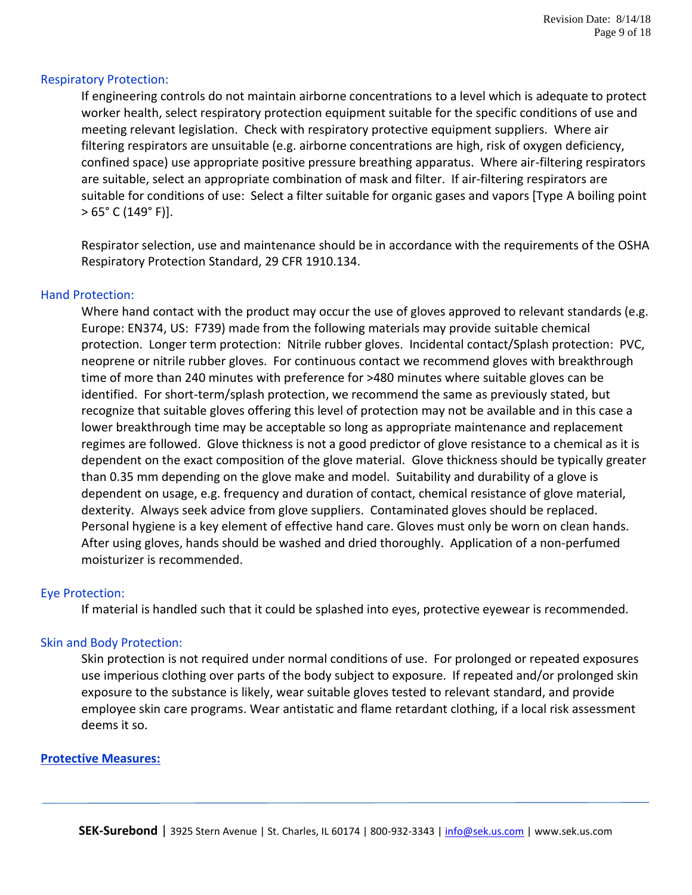### Respiratory Protection:

If engineering controls do not maintain airborne concentrations to a level which is adequate to protect worker health, select respiratory protection equipment suitable for the specific conditions of use and meeting relevant legislation. Check with respiratory protective equipment suppliers. Where air filtering respirators are unsuitable (e.g. airborne concentrations are high, risk of oxygen deficiency, confined space) use appropriate positive pressure breathing apparatus. Where air-filtering respirators are suitable, select an appropriate combination of mask and filter. If air-filtering respirators are suitable for conditions of use: Select a filter suitable for organic gases and vapors [Type A boiling point  $> 65^{\circ}$  C (149° F)].

Respirator selection, use and maintenance should be in accordance with the requirements of the OSHA Respiratory Protection Standard, 29 CFR 1910.134.

### Hand Protection:

Where hand contact with the product may occur the use of gloves approved to relevant standards (e.g. Europe: EN374, US: F739) made from the following materials may provide suitable chemical protection. Longer term protection: Nitrile rubber gloves. Incidental contact/Splash protection: PVC, neoprene or nitrile rubber gloves. For continuous contact we recommend gloves with breakthrough time of more than 240 minutes with preference for >480 minutes where suitable gloves can be identified. For short-term/splash protection, we recommend the same as previously stated, but recognize that suitable gloves offering this level of protection may not be available and in this case a lower breakthrough time may be acceptable so long as appropriate maintenance and replacement regimes are followed. Glove thickness is not a good predictor of glove resistance to a chemical as it is dependent on the exact composition of the glove material. Glove thickness should be typically greater than 0.35 mm depending on the glove make and model. Suitability and durability of a glove is dependent on usage, e.g. frequency and duration of contact, chemical resistance of glove material, dexterity. Always seek advice from glove suppliers. Contaminated gloves should be replaced. Personal hygiene is a key element of effective hand care. Gloves must only be worn on clean hands. After using gloves, hands should be washed and dried thoroughly. Application of a non-perfumed moisturizer is recommended.

### Eye Protection:

If material is handled such that it could be splashed into eyes, protective eyewear is recommended.

### Skin and Body Protection:

Skin protection is not required under normal conditions of use. For prolonged or repeated exposures use imperious clothing over parts of the body subject to exposure. If repeated and/or prolonged skin exposure to the substance is likely, wear suitable gloves tested to relevant standard, and provide employee skin care programs. Wear antistatic and flame retardant clothing, if a local risk assessment deems it so.

### **Protective Measures:**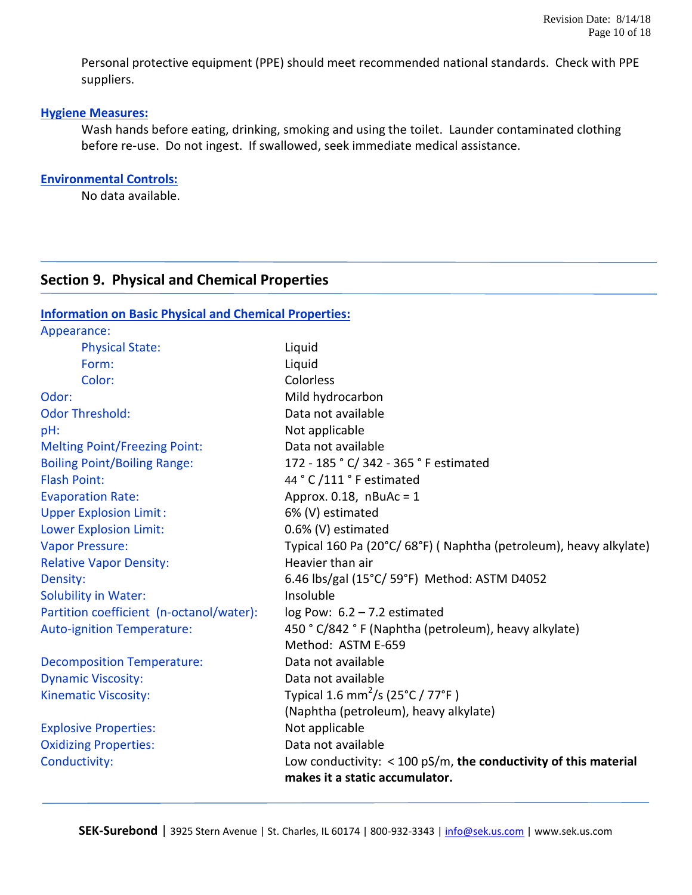Personal protective equipment (PPE) should meet recommended national standards. Check with PPE suppliers.

### **Hygiene Measures:**

Wash hands before eating, drinking, smoking and using the toilet. Launder contaminated clothing before re-use. Do not ingest. If swallowed, seek immediate medical assistance.

### **Environmental Controls:**

No data available.

### **Section 9. Physical and Chemical Properties**

**Information on Basic Physical and Chemical Properties:**

| Appearance:                              |                                                                   |
|------------------------------------------|-------------------------------------------------------------------|
| <b>Physical State:</b>                   | Liquid                                                            |
| Form:                                    | Liquid                                                            |
| Color:                                   | Colorless                                                         |
| Odor:                                    | Mild hydrocarbon                                                  |
| <b>Odor Threshold:</b>                   | Data not available                                                |
| pH:                                      | Not applicable                                                    |
| <b>Melting Point/Freezing Point:</b>     | Data not available                                                |
| <b>Boiling Point/Boiling Range:</b>      | 172 - 185 ° C/ 342 - 365 ° F estimated                            |
| <b>Flash Point:</b>                      | 44 ° C /111 ° F estimated                                         |
| <b>Evaporation Rate:</b>                 | Approx. $0.18$ , nBuAc = 1                                        |
| <b>Upper Explosion Limit:</b>            | 6% (V) estimated                                                  |
| <b>Lower Explosion Limit:</b>            | 0.6% (V) estimated                                                |
| <b>Vapor Pressure:</b>                   | Typical 160 Pa (20°C/68°F) (Naphtha (petroleum), heavy alkylate)  |
| <b>Relative Vapor Density:</b>           | Heavier than air                                                  |
| Density:                                 | 6.46 lbs/gal (15°C/ 59°F) Method: ASTM D4052                      |
| Solubility in Water:                     | Insoluble                                                         |
| Partition coefficient (n-octanol/water): | log Pow: $6.2 - 7.2$ estimated                                    |
| <b>Auto-ignition Temperature:</b>        | 450 ° C/842 ° F (Naphtha (petroleum), heavy alkylate)             |
|                                          | Method: ASTM E-659                                                |
| <b>Decomposition Temperature:</b>        | Data not available                                                |
| <b>Dynamic Viscosity:</b>                | Data not available                                                |
| <b>Kinematic Viscosity:</b>              | Typical 1.6 mm <sup>2</sup> /s (25°C / 77°F)                      |
|                                          | (Naphtha (petroleum), heavy alkylate)                             |
| <b>Explosive Properties:</b>             | Not applicable                                                    |
| <b>Oxidizing Properties:</b>             | Data not available                                                |
| Conductivity:                            | Low conductivity: $<$ 100 pS/m, the conductivity of this material |
|                                          | makes it a static accumulator.                                    |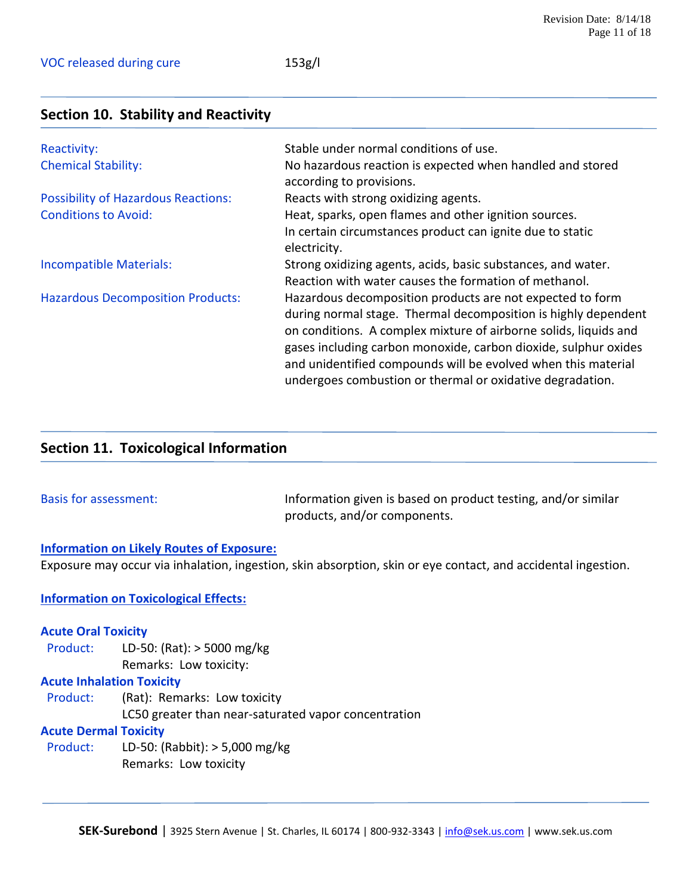### **Section 10. Stability and Reactivity**

| Reactivity:                                | Stable under normal conditions of use.                           |
|--------------------------------------------|------------------------------------------------------------------|
| <b>Chemical Stability:</b>                 | No hazardous reaction is expected when handled and stored        |
|                                            | according to provisions.                                         |
| <b>Possibility of Hazardous Reactions:</b> | Reacts with strong oxidizing agents.                             |
| <b>Conditions to Avoid:</b>                | Heat, sparks, open flames and other ignition sources.            |
|                                            | In certain circumstances product can ignite due to static        |
|                                            | electricity.                                                     |
| Incompatible Materials:                    | Strong oxidizing agents, acids, basic substances, and water.     |
|                                            | Reaction with water causes the formation of methanol.            |
| <b>Hazardous Decomposition Products:</b>   | Hazardous decomposition products are not expected to form        |
|                                            | during normal stage. Thermal decomposition is highly dependent   |
|                                            | on conditions. A complex mixture of airborne solids, liquids and |
|                                            | gases including carbon monoxide, carbon dioxide, sulphur oxides  |
|                                            | and unidentified compounds will be evolved when this material    |
|                                            | undergoes combustion or thermal or oxidative degradation.        |

### **Section 11. Toxicological Information**

Basis for assessment: Information given is based on product testing, and/or similar products, and/or components.

### **Information on Likely Routes of Exposure:**

Exposure may occur via inhalation, ingestion, skin absorption, skin or eye contact, and accidental ingestion.

### **Information on Toxicological Effects:**

#### **Acute Oral Toxicity**

 Product: LD-50: (Rat): > 5000 mg/kg Remarks: Low toxicity:

### **Acute Inhalation Toxicity**

Product: (Rat): Remarks: Low toxicity LC50 greater than near-saturated vapor concentration

### **Acute Dermal Toxicity**

 Product: LD-50: (Rabbit): > 5,000 mg/kg Remarks: Low toxicity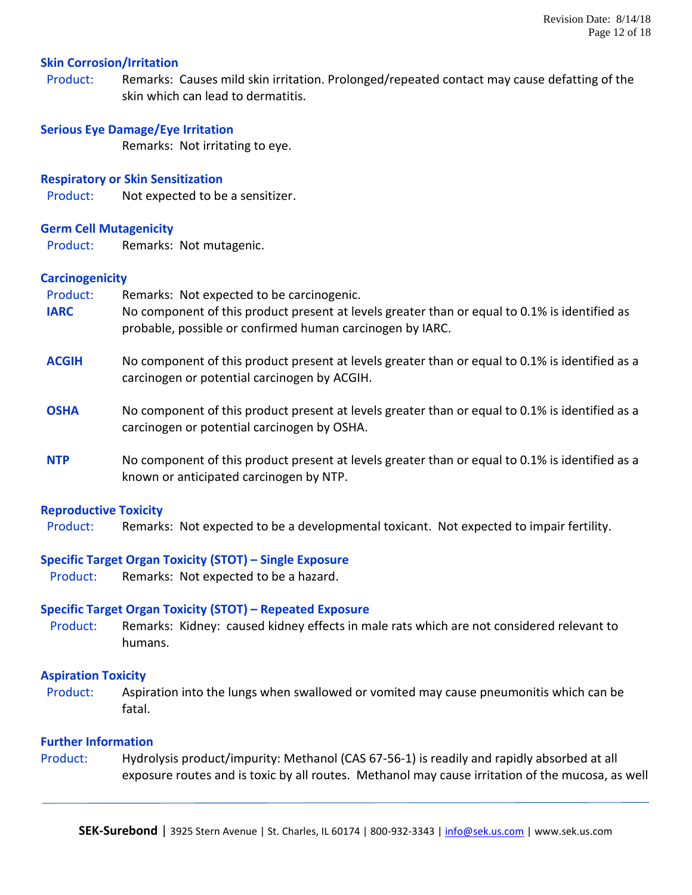### **Skin Corrosion/Irritation**

Product: Remarks: Causes mild skin irritation. Prolonged/repeated contact may cause defatting of the skin which can lead to dermatitis.

### **Serious Eye Damage/Eye Irritation**

Remarks: Not irritating to eye.

### **Respiratory or Skin Sensitization**

Product: Not expected to be a sensitizer.

### **Germ Cell Mutagenicity**

Product: Remarks: Not mutagenic.

### **Carcinogenicity**

Product: Remarks: Not expected to be carcinogenic.

- **IARC** No component of this product present at levels greater than or equal to 0.1% is identified as probable, possible or confirmed human carcinogen by IARC.
- **ACGIH** No component of this product present at levels greater than or equal to 0.1% is identified as a carcinogen or potential carcinogen by ACGIH.
- **OSHA** No component of this product present at levels greater than or equal to 0.1% is identified as a carcinogen or potential carcinogen by OSHA.
- **NTP** No component of this product present at levels greater than or equal to 0.1% is identified as a known or anticipated carcinogen by NTP.

### **Reproductive Toxicity**

Product: Remarks: Not expected to be a developmental toxicant. Not expected to impair fertility.

### **Specific Target Organ Toxicity (STOT) – Single Exposure**

Product: Remarks: Not expected to be a hazard.

### **Specific Target Organ Toxicity (STOT) – Repeated Exposure**

Product: Remarks: Kidney: caused kidney effects in male rats which are not considered relevant to humans.

### **Aspiration Toxicity**

Product: Aspiration into the lungs when swallowed or vomited may cause pneumonitis which can be fatal.

### **Further Information**

Product: Hydrolysis product/impurity: Methanol (CAS 67-56-1) is readily and rapidly absorbed at all exposure routes and is toxic by all routes. Methanol may cause irritation of the mucosa, as well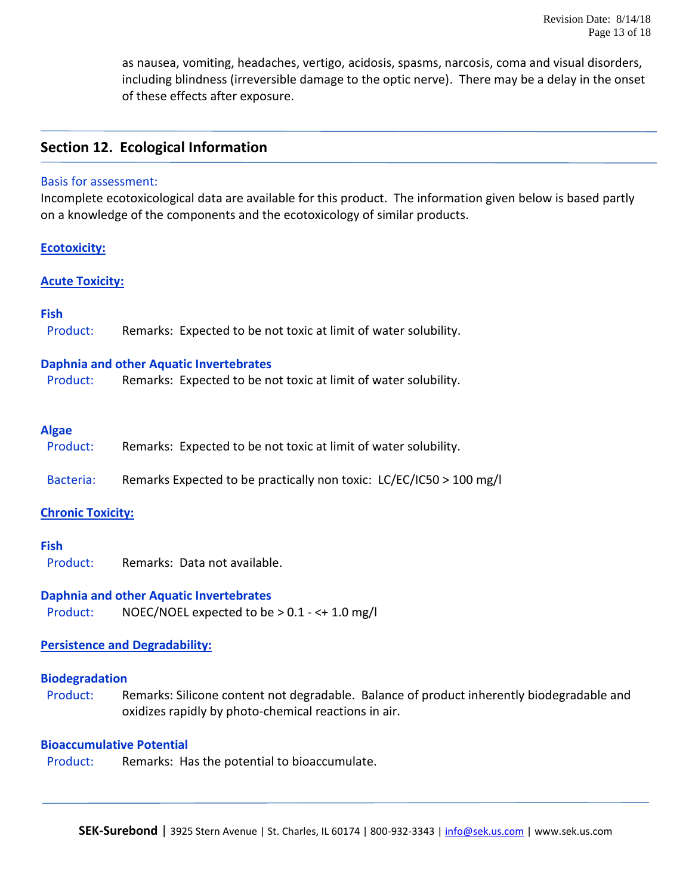as nausea, vomiting, headaches, vertigo, acidosis, spasms, narcosis, coma and visual disorders, including blindness (irreversible damage to the optic nerve). There may be a delay in the onset of these effects after exposure.

### **Section 12. Ecological Information**

#### Basis for assessment:

Incomplete ecotoxicological data are available for this product. The information given below is based partly on a knowledge of the components and the ecotoxicology of similar products.

### **Ecotoxicity:**

### **Acute Toxicity:**

### **Fish**

| Product: | Remarks: Expected to be not toxic at limit of water solubility. |
|----------|-----------------------------------------------------------------|
|          |                                                                 |

### **Daphnia and other Aquatic Invertebrates**

Product: Remarks: Expected to be not toxic at limit of water solubility.

### **Algae**

- Product: Remarks: Expected to be not toxic at limit of water solubility.
- Bacteria: Remarks Expected to be practically non toxic: LC/EC/IC50 > 100 mg/l

### **Chronic Toxicity:**

### **Fish**

Product: Remarks: Data not available.

### **Daphnia and other Aquatic Invertebrates**

Product: NOEC/NOEL expected to be > 0.1 - <+ 1.0 mg/l

### **Persistence and Degradability:**

### **Biodegradation**

Product: Remarks: Silicone content not degradable. Balance of product inherently biodegradable and oxidizes rapidly by photo-chemical reactions in air.

### **Bioaccumulative Potential**

Product: Remarks: Has the potential to bioaccumulate.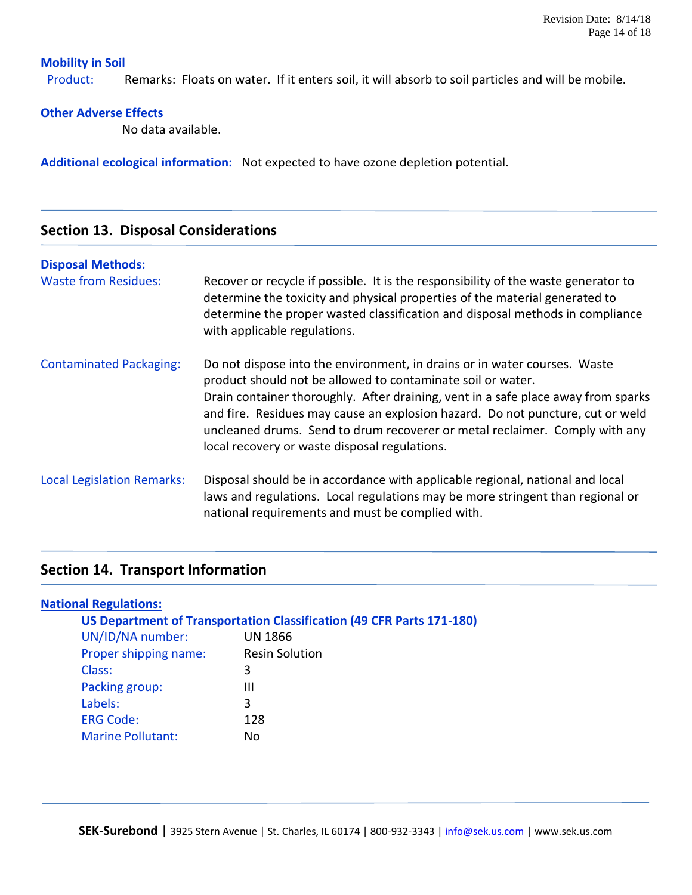### **Mobility in Soil**

Product: Remarks: Floats on water. If it enters soil, it will absorb to soil particles and will be mobile.

### **Other Adverse Effects**

No data available.

**Additional ecological information:** Not expected to have ozone depletion potential.

### **Section 13. Disposal Considerations**

#### **Disposal Methods:**

| <b>Waste from Residues:</b>       | Recover or recycle if possible. It is the responsibility of the waste generator to<br>determine the toxicity and physical properties of the material generated to<br>determine the proper wasted classification and disposal methods in compliance<br>with applicable regulations.                                                                                                                                                              |
|-----------------------------------|-------------------------------------------------------------------------------------------------------------------------------------------------------------------------------------------------------------------------------------------------------------------------------------------------------------------------------------------------------------------------------------------------------------------------------------------------|
| <b>Contaminated Packaging:</b>    | Do not dispose into the environment, in drains or in water courses. Waste<br>product should not be allowed to contaminate soil or water.<br>Drain container thoroughly. After draining, vent in a safe place away from sparks<br>and fire. Residues may cause an explosion hazard. Do not puncture, cut or weld<br>uncleaned drums. Send to drum recoverer or metal reclaimer. Comply with any<br>local recovery or waste disposal regulations. |
| <b>Local Legislation Remarks:</b> | Disposal should be in accordance with applicable regional, national and local<br>laws and regulations. Local regulations may be more stringent than regional or<br>national requirements and must be complied with.                                                                                                                                                                                                                             |

## **Section 14. Transport Information**

| <b>National Regulations:</b> |                                                                       |
|------------------------------|-----------------------------------------------------------------------|
|                              | US Department of Transportation Classification (49 CFR Parts 171-180) |
| UN/ID/NA number:             | <b>UN 1866</b>                                                        |
| Proper shipping name:        | <b>Resin Solution</b>                                                 |
| Class:                       | 3                                                                     |
| Packing group:               | Ш                                                                     |
| Labels:                      | 3                                                                     |
| <b>ERG Code:</b>             | 128                                                                   |
| <b>Marine Pollutant:</b>     | No                                                                    |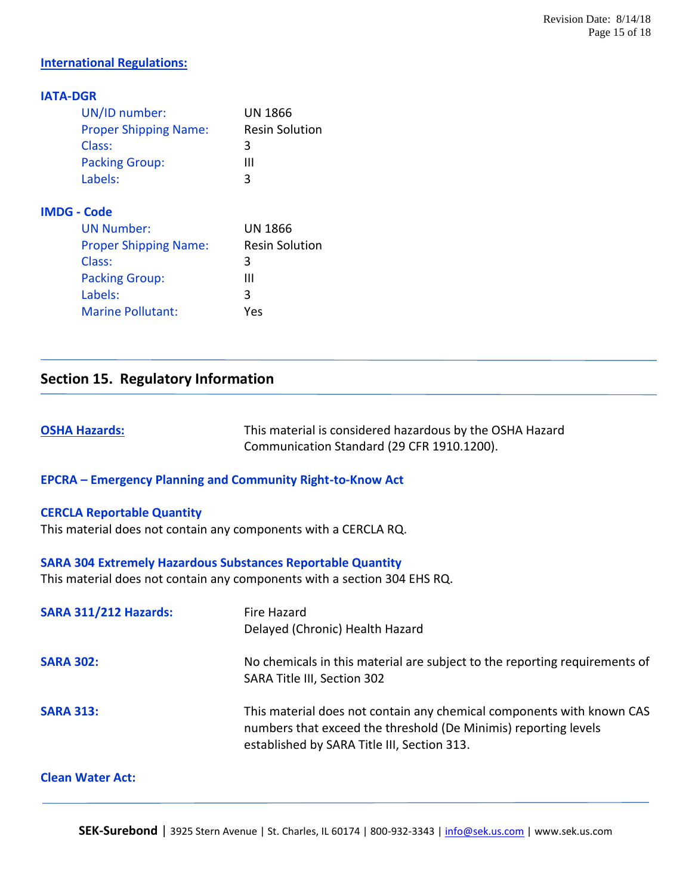### **International Regulations:**

### **IATA-DGR**

| UN/ID number:                | <b>UN 1866</b>        |
|------------------------------|-----------------------|
| <b>Proper Shipping Name:</b> | <b>Resin Solution</b> |
| Class:                       | 3                     |
| <b>Packing Group:</b>        | Ш                     |
| Labels:                      | 3                     |
| <b>IMDG - Code</b>           |                       |
| <b>UN Number:</b>            | UN 1866               |
| <b>Proper Shipping Name:</b> | <b>Resin Solution</b> |
| Class:                       | 3                     |
| <b>Packing Group:</b>        | Ш                     |
| Lahole:                      | ͻ                     |

## Labels: 3 Marine Pollutant: Yes

### **Section 15. Regulatory Information**

**OSHA Hazards:** This material is considered hazardous by the OSHA Hazard Communication Standard (29 CFR 1910.1200).

#### **EPCRA – Emergency Planning and Community Right-to-Know Act**

#### **CERCLA Reportable Quantity**

This material does not contain any components with a CERCLA RQ.

#### **SARA 304 Extremely Hazardous Substances Reportable Quantity**

This material does not contain any components with a section 304 EHS RQ.

| <b>SARA 311/212 Hazards:</b> | Fire Hazard<br>Delayed (Chronic) Health Hazard                                                                                                                                          |
|------------------------------|-----------------------------------------------------------------------------------------------------------------------------------------------------------------------------------------|
| <b>SARA 302:</b>             | No chemicals in this material are subject to the reporting requirements of<br>SARA Title III, Section 302                                                                               |
| <b>SARA 313:</b>             | This material does not contain any chemical components with known CAS<br>numbers that exceed the threshold (De Minimis) reporting levels<br>established by SARA Title III, Section 313. |

#### **Clean Water Act:**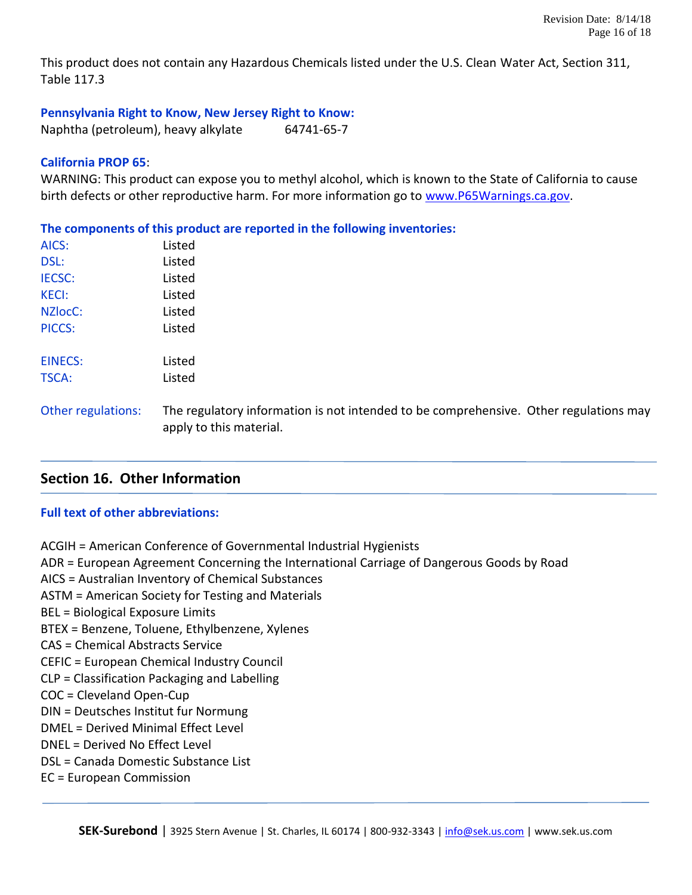This product does not contain any Hazardous Chemicals listed under the U.S. Clean Water Act, Section 311, Table 117.3

**Pennsylvania Right to Know, New Jersey Right to Know:**

Naphtha (petroleum), heavy alkylate 64741-65-7

### **California PROP 65**:

WARNING: This product can expose you to methyl alcohol, which is known to the State of California to cause birth defects or other reproductive harm. For more information go to [www.P65Warnings.ca.gov.](http://www.p65warnings.ca.gov/)

**The components of this product are reported in the following inventories:** AICS: listed DSL: Listed IECSC: Listed KECI: Listed NZlocC: Listed PICCS: Listed EINECS: Listed TSCA: Listed Other regulations: The regulatory information is not intended to be comprehensive. Other regulations may apply to this material.

### **Section 16. Other Information**

### **Full text of other abbreviations:**

ACGIH = American Conference of Governmental Industrial Hygienists ADR = European Agreement Concerning the International Carriage of Dangerous Goods by Road AICS = Australian Inventory of Chemical Substances ASTM = American Society for Testing and Materials BEL = Biological Exposure Limits BTEX = Benzene, Toluene, Ethylbenzene, Xylenes CAS = Chemical Abstracts Service CEFIC = European Chemical Industry Council CLP = Classification Packaging and Labelling COC = Cleveland Open-Cup DIN = Deutsches Institut fur Normung DMEL = Derived Minimal Effect Level DNEL = Derived No Effect Level DSL = Canada Domestic Substance List EC = European Commission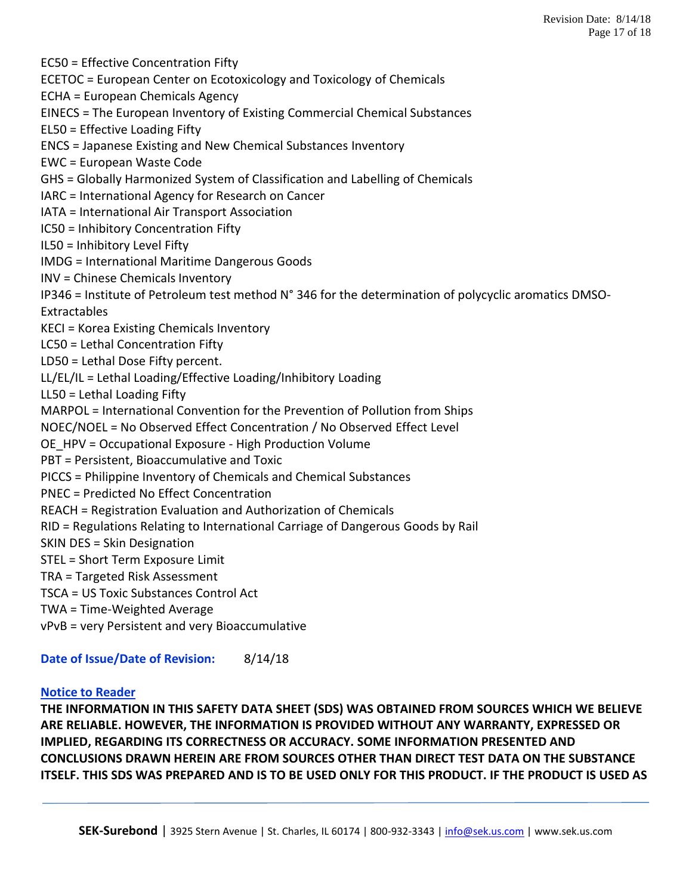EC50 = Effective Concentration Fifty ECETOC = European Center on Ecotoxicology and Toxicology of Chemicals ECHA = European Chemicals Agency EINECS = The European Inventory of Existing Commercial Chemical Substances EL50 = Effective Loading Fifty ENCS = Japanese Existing and New Chemical Substances Inventory EWC = European Waste Code GHS = Globally Harmonized System of Classification and Labelling of Chemicals IARC = International Agency for Research on Cancer IATA = International Air Transport Association IC50 = Inhibitory Concentration Fifty IL50 = Inhibitory Level Fifty IMDG = International Maritime Dangerous Goods INV = Chinese Chemicals Inventory IP346 = Institute of Petroleum test method N° 346 for the determination of polycyclic aromatics DMSO-Extractables KECI = Korea Existing Chemicals Inventory LC50 = Lethal Concentration Fifty LD50 = Lethal Dose Fifty percent. LL/EL/IL = Lethal Loading/Effective Loading/Inhibitory Loading LL50 = Lethal Loading Fifty MARPOL = International Convention for the Prevention of Pollution from Ships NOEC/NOEL = No Observed Effect Concentration / No Observed Effect Level OE\_HPV = Occupational Exposure - High Production Volume PBT = Persistent, Bioaccumulative and Toxic PICCS = Philippine Inventory of Chemicals and Chemical Substances PNEC = Predicted No Effect Concentration REACH = Registration Evaluation and Authorization of Chemicals RID = Regulations Relating to International Carriage of Dangerous Goods by Rail SKIN DES = Skin Designation STEL = Short Term Exposure Limit TRA = Targeted Risk Assessment TSCA = US Toxic Substances Control Act TWA = Time-Weighted Average vPvB = very Persistent and very Bioaccumulative

**Date of Issue/Date of Revision:** 8/14/18

### **Notice to Reader**

**THE INFORMATION IN THIS SAFETY DATA SHEET (SDS) WAS OBTAINED FROM SOURCES WHICH WE BELIEVE ARE RELIABLE. HOWEVER, THE INFORMATION IS PROVIDED WITHOUT ANY WARRANTY, EXPRESSED OR IMPLIED, REGARDING ITS CORRECTNESS OR ACCURACY. SOME INFORMATION PRESENTED AND CONCLUSIONS DRAWN HEREIN ARE FROM SOURCES OTHER THAN DIRECT TEST DATA ON THE SUBSTANCE ITSELF. THIS SDS WAS PREPARED AND IS TO BE USED ONLY FOR THIS PRODUCT. IF THE PRODUCT IS USED AS**